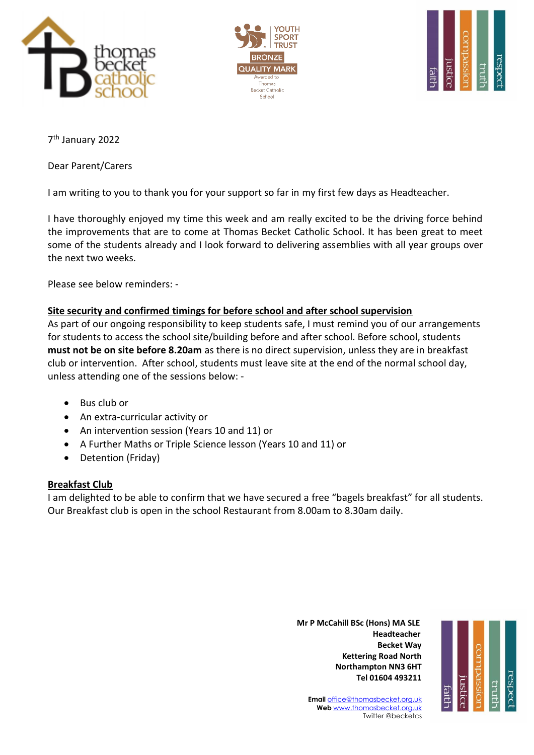





7 th January 2022

Dear Parent/Carers

I am writing to you to thank you for your support so far in my first few days as Headteacher.

I have thoroughly enjoyed my time this week and am really excited to be the driving force behind the improvements that are to come at Thomas Becket Catholic School. It has been great to meet some of the students already and I look forward to delivering assemblies with all year groups over the next two weeks.

Please see below reminders: -

# **Site security and confirmed timings for before school and after school supervision**

As part of our ongoing responsibility to keep students safe, I must remind you of our arrangements for students to access the school site/building before and after school. Before school, students **must not be on site before 8.20am** as there is no direct supervision, unless they are in breakfast club or intervention. After school, students must leave site at the end of the normal school day, unless attending one of the sessions below: -

- Bus club or
- An extra-curricular activity or
- An intervention session (Years 10 and 11) or
- A Further Maths or Triple Science lesson (Years 10 and 11) or
- Detention (Friday)

# **Breakfast Club**

I am delighted to be able to confirm that we have secured a free "bagels breakfast" for all students. Our Breakfast club is open in the school Restaurant from 8.00am to 8.30am daily.

 **Mr P McCahill BSc (Hons) MA SLE** با المساوت المساوت المساوت المساوت المساوت المساوت المساوت المساوت المساوت المساوت المساوت المساوت المساوت الم **Becket Way Kettering Road North Northampton NN3 6HT Tel 01604 493211**



**Email** [office@thomasbecket.org.uk](mailto:office@thomasbecket.org.uk) **Web** [www.thomasbecket.org.uk](http://www.thomasbecket.org.uk/) Twitter @becketcs